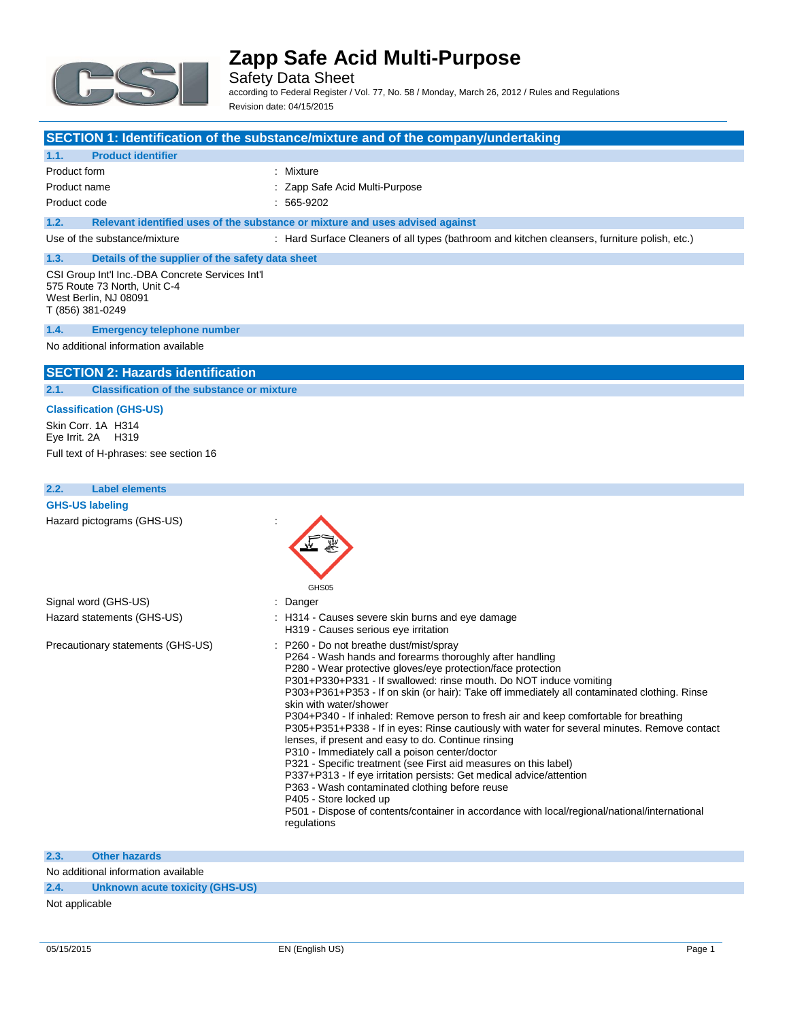

Safety Data Sheet according to Federal Register / Vol. 77, No. 58 / Monday, March 26, 2012 / Rules and Regulations Revision date: 04/15/2015

### **SECTION 1: Identification of the substance/mixture and of the company/undertaking**

#### **1.1. Product identifier**

Product form **: Mixture** 

Product name **in the set of the Capp** Safe Acid Multi-Purpose Product code : 565-9202

### **1.2. Relevant identified uses of the substance or mixture and uses advised against**

Use of the substance/mixture : Hard Surface Cleaners of all types (bathroom and kitchen cleansers, furniture polish, etc.)

#### **1.3. Details of the supplier of the safety data sheet** CSI Group Int'l Inc.-DBA Concrete Services Int'l

575 Route 73 North, Unit C-4 West Berlin, NJ 08091 T (856) 381-0249

#### **1.4. Emergency telephone number**

#### No additional information available

### **SECTION 2: Hazards identification**

**2.1. Classification of the substance or mixture**

#### **Classification (GHS-US)**

Skin Corr. 1A H314 Eye Irrit. 2A H319 Full text of H-phrases: see section 16

#### **2.2. Label elements**

**GHS-US labeling** Hazard pictograms (GHS-US) :



### **2.3. Other hazards**

No additional information available

### **2.4. Unknown acute toxicity (GHS-US)**

Not applicable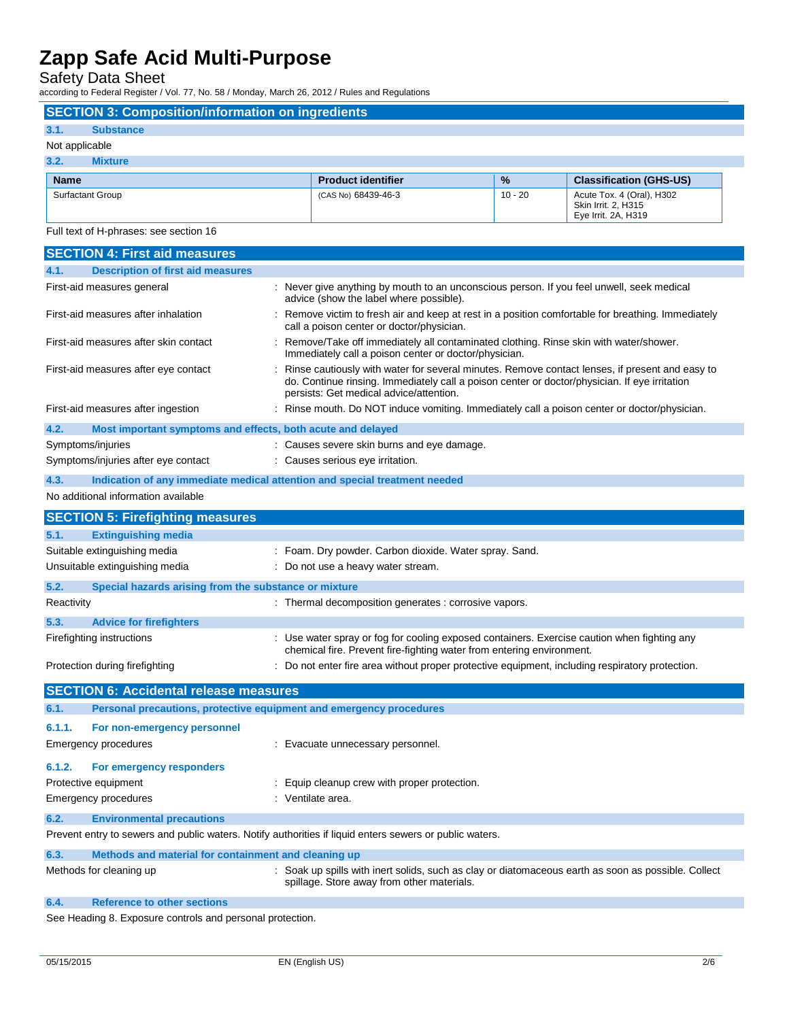Safety Data Sheet

according to Federal Register / Vol. 77, No. 58 / Monday, March 26, 2012 / Rules and Regulations

**SECTION 3: Composition/information on ingredients**

### **3.1. Substance**

### Not applicable

| 3.2.<br>Mixture         |                           |               |                                                                         |
|-------------------------|---------------------------|---------------|-------------------------------------------------------------------------|
| <b>Name</b>             | <b>Product identifier</b> | $\frac{9}{6}$ | <b>Classification (GHS-US)</b>                                          |
| <b>Surfactant Group</b> | (CAS No) 68439-46-3       | $10 - 20$     | Acute Tox. 4 (Oral), H302<br>Skin Irrit. 2. H315<br>Eye Irrit. 2A, H319 |

Full text of H-phrases: see section 16

| <b>SECTION 4: First aid measures</b>                                                                    |                                                                     |                                                                                                                                                                                                                                            |  |
|---------------------------------------------------------------------------------------------------------|---------------------------------------------------------------------|--------------------------------------------------------------------------------------------------------------------------------------------------------------------------------------------------------------------------------------------|--|
| 4.1.                                                                                                    | <b>Description of first aid measures</b>                            |                                                                                                                                                                                                                                            |  |
|                                                                                                         | First-aid measures general                                          | : Never give anything by mouth to an unconscious person. If you feel unwell, seek medical<br>advice (show the label where possible).                                                                                                       |  |
|                                                                                                         | First-aid measures after inhalation                                 | : Remove victim to fresh air and keep at rest in a position comfortable for breathing. Immediately<br>call a poison center or doctor/physician.                                                                                            |  |
|                                                                                                         | First-aid measures after skin contact                               | Remove/Take off immediately all contaminated clothing. Rinse skin with water/shower.<br>Immediately call a poison center or doctor/physician.                                                                                              |  |
|                                                                                                         | First-aid measures after eye contact                                | Rinse cautiously with water for several minutes. Remove contact lenses, if present and easy to<br>do. Continue rinsing. Immediately call a poison center or doctor/physician. If eye irritation<br>persists: Get medical advice/attention. |  |
|                                                                                                         | First-aid measures after ingestion                                  | : Rinse mouth. Do NOT induce vomiting. Immediately call a poison center or doctor/physician.                                                                                                                                               |  |
| 4.2.                                                                                                    | Most important symptoms and effects, both acute and delayed         |                                                                                                                                                                                                                                            |  |
|                                                                                                         | Symptoms/injuries                                                   | : Causes severe skin burns and eye damage.                                                                                                                                                                                                 |  |
|                                                                                                         | Symptoms/injuries after eye contact                                 | : Causes serious eye irritation.                                                                                                                                                                                                           |  |
| 4.3.                                                                                                    |                                                                     | Indication of any immediate medical attention and special treatment needed                                                                                                                                                                 |  |
|                                                                                                         | No additional information available                                 |                                                                                                                                                                                                                                            |  |
|                                                                                                         | <b>SECTION 5: Firefighting measures</b>                             |                                                                                                                                                                                                                                            |  |
|                                                                                                         |                                                                     |                                                                                                                                                                                                                                            |  |
| 5.1.                                                                                                    | <b>Extinguishing media</b>                                          |                                                                                                                                                                                                                                            |  |
|                                                                                                         | Suitable extinguishing media                                        | : Foam. Dry powder. Carbon dioxide. Water spray. Sand.                                                                                                                                                                                     |  |
|                                                                                                         | Unsuitable extinguishing media                                      | : Do not use a heavy water stream.                                                                                                                                                                                                         |  |
| 5.2.                                                                                                    | Special hazards arising from the substance or mixture               |                                                                                                                                                                                                                                            |  |
| Reactivity                                                                                              |                                                                     | : Thermal decomposition generates : corrosive vapors.                                                                                                                                                                                      |  |
| 5.3.                                                                                                    | <b>Advice for firefighters</b>                                      |                                                                                                                                                                                                                                            |  |
|                                                                                                         | Firefighting instructions                                           | : Use water spray or fog for cooling exposed containers. Exercise caution when fighting any<br>chemical fire. Prevent fire-fighting water from entering environment.                                                                       |  |
|                                                                                                         | Protection during firefighting                                      | : Do not enter fire area without proper protective equipment, including respiratory protection.                                                                                                                                            |  |
|                                                                                                         | <b>SECTION 6: Accidental release measures</b>                       |                                                                                                                                                                                                                                            |  |
| 6.1.                                                                                                    | Personal precautions, protective equipment and emergency procedures |                                                                                                                                                                                                                                            |  |
|                                                                                                         |                                                                     |                                                                                                                                                                                                                                            |  |
| 6.1.1.                                                                                                  | For non-emergency personnel                                         |                                                                                                                                                                                                                                            |  |
|                                                                                                         | <b>Emergency procedures</b>                                         | : Evacuate unnecessary personnel.                                                                                                                                                                                                          |  |
| 6.1.2.                                                                                                  | For emergency responders                                            |                                                                                                                                                                                                                                            |  |
|                                                                                                         | Protective equipment                                                | Equip cleanup crew with proper protection.                                                                                                                                                                                                 |  |
|                                                                                                         | <b>Emergency procedures</b>                                         | : Ventilate area.                                                                                                                                                                                                                          |  |
| 6.2.                                                                                                    | <b>Environmental precautions</b>                                    |                                                                                                                                                                                                                                            |  |
| Prevent entry to sewers and public waters. Notify authorities if liquid enters sewers or public waters. |                                                                     |                                                                                                                                                                                                                                            |  |
| 6.3.<br>Methods and material for containment and cleaning up                                            |                                                                     |                                                                                                                                                                                                                                            |  |
|                                                                                                         | Methods for cleaning up                                             | : Soak up spills with inert solids, such as clay or diatomaceous earth as soon as possible. Collect                                                                                                                                        |  |
|                                                                                                         |                                                                     | spillage. Store away from other materials.                                                                                                                                                                                                 |  |
| 6.4.                                                                                                    | <b>Reference to other sections</b>                                  |                                                                                                                                                                                                                                            |  |

See Heading 8. Exposure controls and personal protection.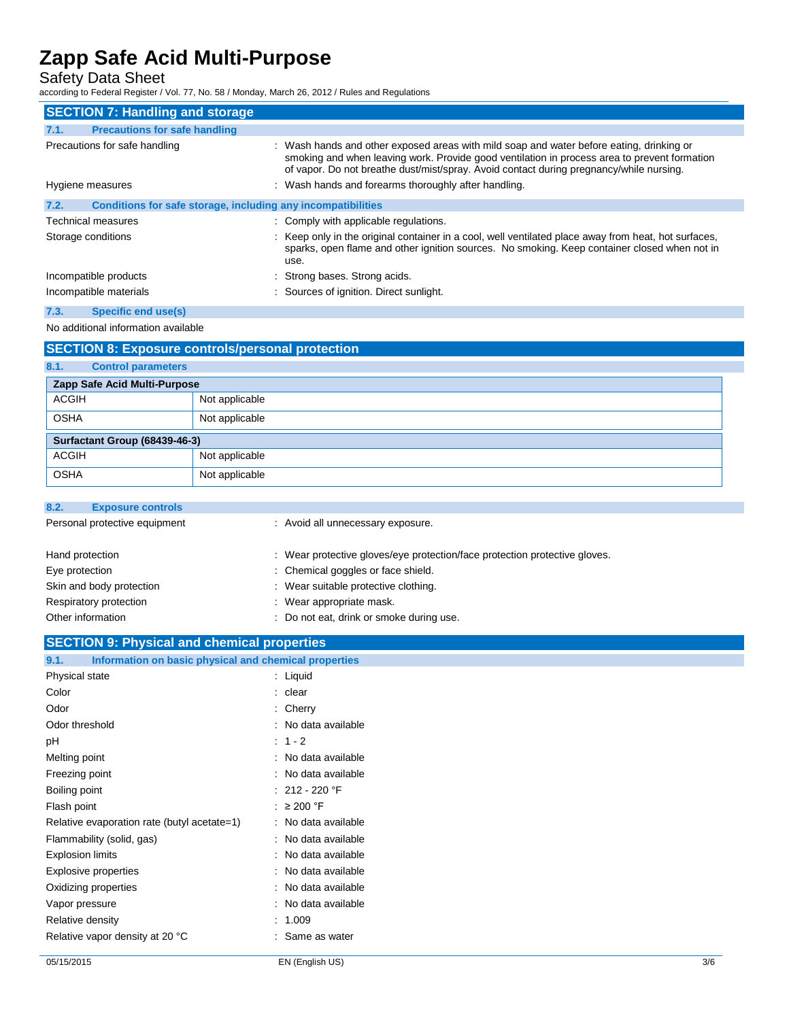Safety Data Sheet

according to Federal Register / Vol. 77, No. 58 / Monday, March 26, 2012 / Rules and Regulations

| <b>SECTION 7: Handling and storage</b>                               |                                                                                                                                                                                                                                                                                     |
|----------------------------------------------------------------------|-------------------------------------------------------------------------------------------------------------------------------------------------------------------------------------------------------------------------------------------------------------------------------------|
| <b>Precautions for safe handling</b><br>7.1.                         |                                                                                                                                                                                                                                                                                     |
| Precautions for safe handling                                        | : Wash hands and other exposed areas with mild soap and water before eating, drinking or<br>smoking and when leaving work. Provide good ventilation in process area to prevent formation<br>of vapor. Do not breathe dust/mist/spray. Avoid contact during pregnancy/while nursing. |
| Hygiene measures                                                     | : Wash hands and forearms thoroughly after handling.                                                                                                                                                                                                                                |
| Conditions for safe storage, including any incompatibilities<br>7.2. |                                                                                                                                                                                                                                                                                     |
| Technical measures                                                   | : Comply with applicable regulations.                                                                                                                                                                                                                                               |
| Storage conditions                                                   | : Keep only in the original container in a cool, well ventilated place away from heat, hot surfaces,<br>sparks, open flame and other ignition sources. No smoking. Keep container closed when not in<br>use.                                                                        |
| Incompatible products                                                | : Strong bases. Strong acids.                                                                                                                                                                                                                                                       |
| Incompatible materials                                               | : Sources of ignition. Direct sunlight.                                                                                                                                                                                                                                             |

### **7.3. Specific end use(s)**

No additional information available

| <b>SECTION 8: Exposure controls/personal protection</b> |                |  |
|---------------------------------------------------------|----------------|--|
| 8.1.<br><b>Control parameters</b>                       |                |  |
| Zapp Safe Acid Multi-Purpose                            |                |  |
| <b>ACGIH</b>                                            | Not applicable |  |
| <b>OSHA</b>                                             | Not applicable |  |
| Surfactant Group (68439-46-3)                           |                |  |
| <b>ACGIH</b>                                            | Not applicable |  |
| <b>OSHA</b>                                             | Not applicable |  |

| 8.2.                          | <b>Exposure controls</b> |                                                                            |
|-------------------------------|--------------------------|----------------------------------------------------------------------------|
| Personal protective equipment |                          | : Avoid all unnecessary exposure.                                          |
| Hand protection               |                          | : Wear protective gloves/eye protection/face protection protective gloves. |
| Eye protection                |                          | : Chemical goggles or face shield.                                         |
| Skin and body protection      |                          | : Wear suitable protective clothing.                                       |
| Respiratory protection        |                          | : Wear appropriate mask.                                                   |
| Other information             |                          | Do not eat, drink or smoke during use.                                     |

### **SECTION 9: Physical and chemical properties**

| Information on basic physical and chemical properties<br>9.1. |                   |
|---------------------------------------------------------------|-------------------|
| Physical state                                                | : Liquid          |
| Color                                                         | clear             |
| Odor                                                          | Cherry            |
| Odor threshold                                                | No data available |
| рH                                                            | $: 1 - 2$         |
| Melting point                                                 | No data available |
| Freezing point                                                | No data available |
| Boiling point                                                 | : 212 - 220 °F    |
| Flash point                                                   | $\geq$ 200 °F     |
| Relative evaporation rate (butyl acetate=1)                   | No data available |
| Flammability (solid, gas)                                     | No data available |
| <b>Explosion limits</b>                                       | No data available |
| Explosive properties                                          | No data available |
| Oxidizing properties                                          | No data available |
| Vapor pressure                                                | No data available |
| Relative density                                              | 1.009             |
| Relative vapor density at 20 °C                               | Same as water     |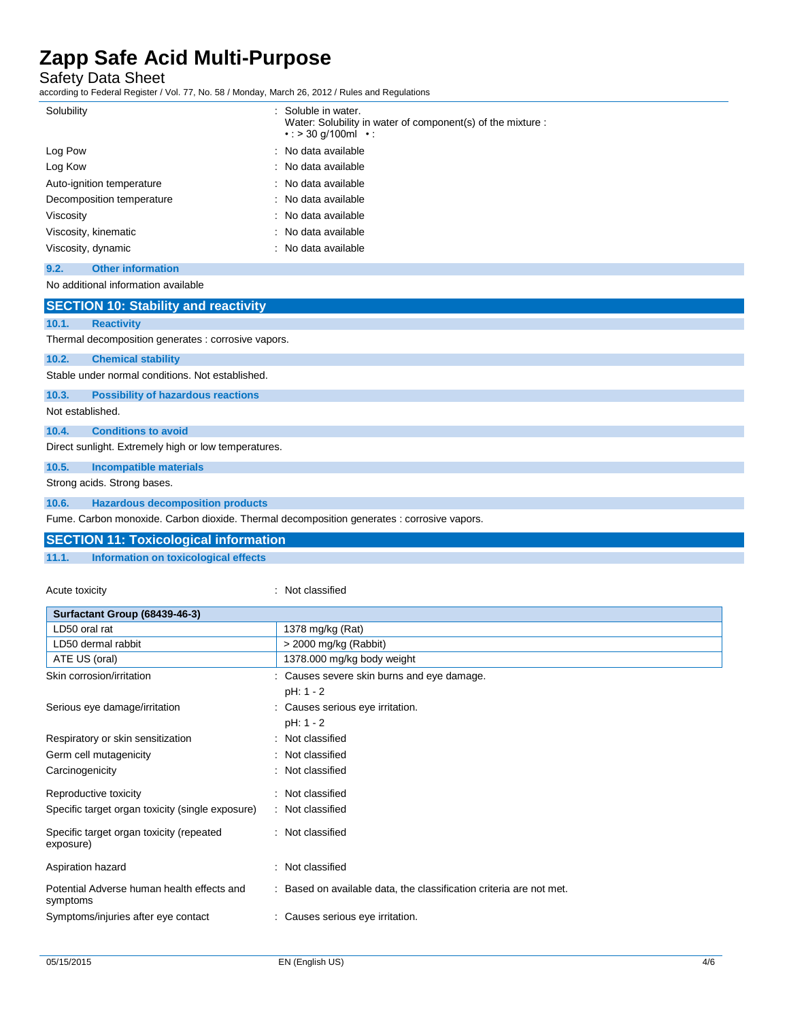Safety Data Sheet

according to Federal Register / Vol. 77, No. 58 / Monday, March 26, 2012 / Rules and Regulations

| Solubility                | : Soluble in water.<br>Water: Solubility in water of component(s) of the mixture :<br>$\cdot$ : > 30 g/100ml $\cdot$ : |
|---------------------------|------------------------------------------------------------------------------------------------------------------------|
| Log Pow                   | : No data available                                                                                                    |
| Log Kow                   | : No data available                                                                                                    |
| Auto-ignition temperature | : No data available                                                                                                    |
| Decomposition temperature | : No data available                                                                                                    |
| Viscosity                 | : No data available                                                                                                    |
| Viscosity, kinematic      | : No data available                                                                                                    |
| Viscosity, dynamic        | : No data available                                                                                                    |

**9.2. Other information**

No additional information available

|                                                      | <b>SECTION 10: Stability and reactivity</b>         |  |  |
|------------------------------------------------------|-----------------------------------------------------|--|--|
| 10.1.                                                | <b>Reactivity</b>                                   |  |  |
|                                                      | Thermal decomposition generates : corrosive vapors. |  |  |
| 10.2.                                                | <b>Chemical stability</b>                           |  |  |
|                                                      | Stable under normal conditions. Not established.    |  |  |
| 10.3.                                                | <b>Possibility of hazardous reactions</b>           |  |  |
| Not established.                                     |                                                     |  |  |
| 10.4.                                                | <b>Conditions to avoid</b>                          |  |  |
| Direct sunlight. Extremely high or low temperatures. |                                                     |  |  |
| 10.5.                                                | <b>Incompatible materials</b>                       |  |  |
|                                                      | Strong acids. Strong bases.                         |  |  |
| 10.6.                                                | <b>Hazardous decomposition products</b>             |  |  |

Fume. Carbon monoxide. Carbon dioxide. Thermal decomposition generates : corrosive vapors.

|       | <b>SECTION 11: Toxicological information</b> |
|-------|----------------------------------------------|
| 11.1. | Information on toxicological effects         |

Acute toxicity **in the case of the contract of the contract of the contract of the contract of the contract of the contract of the contract of the contract of the contract of the contract of the contract of the contract of** 

| Surfactant Group (68439-46-3)                          |                                                                     |  |
|--------------------------------------------------------|---------------------------------------------------------------------|--|
| LD50 oral rat                                          | 1378 mg/kg (Rat)                                                    |  |
| LD50 dermal rabbit                                     | > 2000 mg/kg (Rabbit)                                               |  |
| ATE US (oral)                                          | 1378.000 mg/kg body weight                                          |  |
| Skin corrosion/irritation                              | : Causes severe skin burns and eye damage.                          |  |
|                                                        | $pH: 1 - 2$                                                         |  |
| Serious eye damage/irritation                          | : Causes serious eye irritation.                                    |  |
|                                                        | pH: 1 - 2                                                           |  |
| Respiratory or skin sensitization                      | : Not classified                                                    |  |
| Germ cell mutagenicity                                 | : Not classified                                                    |  |
| Carcinogenicity                                        | : Not classified                                                    |  |
| Reproductive toxicity                                  | : Not classified                                                    |  |
| Specific target organ toxicity (single exposure)       | : Not classified                                                    |  |
| Specific target organ toxicity (repeated<br>exposure)  | : Not classified                                                    |  |
| Aspiration hazard                                      | : Not classified                                                    |  |
| Potential Adverse human health effects and<br>symptoms | : Based on available data, the classification criteria are not met. |  |
| Symptoms/injuries after eye contact                    | : Causes serious eye irritation.                                    |  |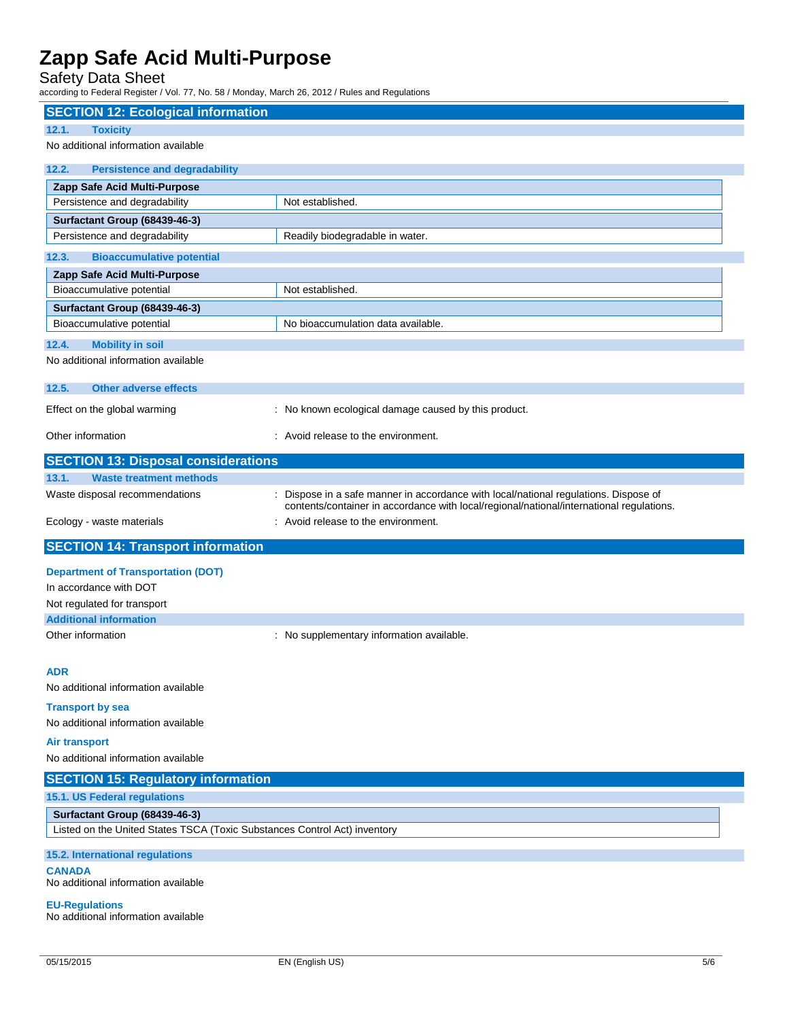## Safety Data Sheet

according to Federal Register / Vol. 77, No. 58 / Monday, March 26, 2012 / Rules and Regulations

| <b>SECTION 12: Ecological information</b>                                                                  |                                                                                                                                                                                  |
|------------------------------------------------------------------------------------------------------------|----------------------------------------------------------------------------------------------------------------------------------------------------------------------------------|
| 12.1.<br><b>Toxicity</b>                                                                                   |                                                                                                                                                                                  |
| No additional information available                                                                        |                                                                                                                                                                                  |
| 12.2.<br><b>Persistence and degradability</b>                                                              |                                                                                                                                                                                  |
| Zapp Safe Acid Multi-Purpose                                                                               |                                                                                                                                                                                  |
| Persistence and degradability                                                                              | Not established.                                                                                                                                                                 |
| Surfactant Group (68439-46-3)<br>Persistence and degradability                                             | Readily biodegradable in water.                                                                                                                                                  |
| 12.3.<br><b>Bioaccumulative potential</b>                                                                  |                                                                                                                                                                                  |
| Zapp Safe Acid Multi-Purpose                                                                               |                                                                                                                                                                                  |
| Bioaccumulative potential                                                                                  | Not established.                                                                                                                                                                 |
| Surfactant Group (68439-46-3)                                                                              |                                                                                                                                                                                  |
| Bioaccumulative potential                                                                                  | No bioaccumulation data available.                                                                                                                                               |
| 12.4.<br><b>Mobility in soil</b>                                                                           |                                                                                                                                                                                  |
| No additional information available                                                                        |                                                                                                                                                                                  |
| 12.5.<br><b>Other adverse effects</b>                                                                      |                                                                                                                                                                                  |
| Effect on the global warming                                                                               | : No known ecological damage caused by this product.                                                                                                                             |
| Other information                                                                                          | : Avoid release to the environment.                                                                                                                                              |
| <b>SECTION 13: Disposal considerations</b>                                                                 |                                                                                                                                                                                  |
| 13.1.<br><b>Waste treatment methods</b>                                                                    |                                                                                                                                                                                  |
| Waste disposal recommendations                                                                             | : Dispose in a safe manner in accordance with local/national regulations. Dispose of<br>contents/container in accordance with local/regional/national/international regulations. |
| Ecology - waste materials                                                                                  | : Avoid release to the environment.                                                                                                                                              |
|                                                                                                            |                                                                                                                                                                                  |
| <b>SECTION 14: Transport information</b>                                                                   |                                                                                                                                                                                  |
| <b>Department of Transportation (DOT)</b>                                                                  |                                                                                                                                                                                  |
| In accordance with DOT                                                                                     |                                                                                                                                                                                  |
| Not regulated for transport                                                                                |                                                                                                                                                                                  |
| <b>Additional information</b><br>Other information                                                         |                                                                                                                                                                                  |
|                                                                                                            | : No supplementary information available.                                                                                                                                        |
| ADR                                                                                                        |                                                                                                                                                                                  |
| No additional information available                                                                        |                                                                                                                                                                                  |
| <b>Transport by sea</b>                                                                                    |                                                                                                                                                                                  |
| No additional information available                                                                        |                                                                                                                                                                                  |
| <b>Air transport</b>                                                                                       |                                                                                                                                                                                  |
| No additional information available                                                                        |                                                                                                                                                                                  |
| <b>SECTION 15: Regulatory information</b>                                                                  |                                                                                                                                                                                  |
| 15.1. US Federal regulations                                                                               |                                                                                                                                                                                  |
| Surfactant Group (68439-46-3)<br>Listed on the United States TSCA (Toxic Substances Control Act) inventory |                                                                                                                                                                                  |
|                                                                                                            |                                                                                                                                                                                  |
| 15.2. International regulations<br><b>CANADA</b><br>No additional information available                    |                                                                                                                                                                                  |
| <b>EU-Regulations</b>                                                                                      |                                                                                                                                                                                  |